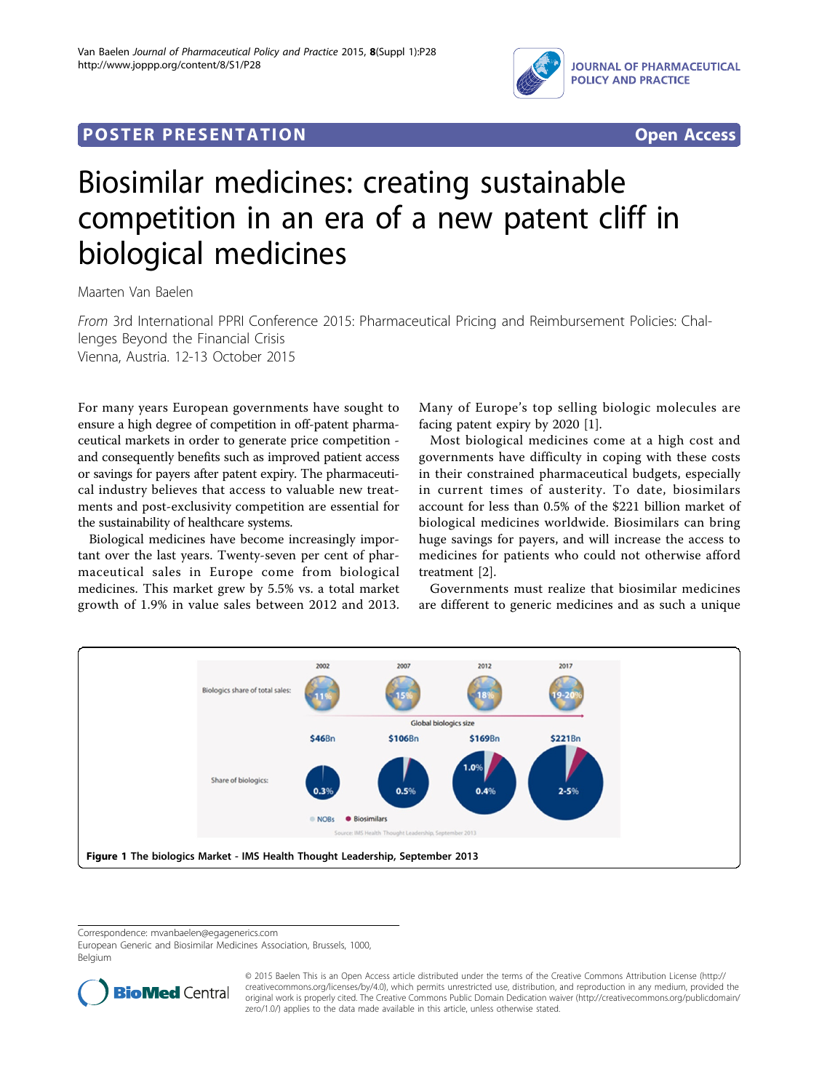

## Post Experimental Policing Construction of the St Engineering Construction of the St Engineering Construction<br>Policing Construction of the St Engineering Construction of the St Engineering Construction of the St Engineer



# Biosimilar medicines: creating sustainable competition in an era of a new patent cliff in biological medicines

Maarten Van Baelen

From 3rd International PPRI Conference 2015: Pharmaceutical Pricing and Reimbursement Policies: Challenges Beyond the Financial Crisis Vienna, Austria. 12-13 October 2015

For many years European governments have sought to ensure a high degree of competition in off-patent pharmaceutical markets in order to generate price competition and consequently benefits such as improved patient access or savings for payers after patent expiry. The pharmaceutical industry believes that access to valuable new treatments and post-exclusivity competition are essential for the sustainability of healthcare systems.

Biological medicines have become increasingly important over the last years. Twenty-seven per cent of pharmaceutical sales in Europe come from biological medicines. This market grew by 5.5% vs. a total market growth of 1.9% in value sales between 2012 and 2013. Many of Europe's top selling biologic molecules are facing patent expiry by 2020 [[1\]](#page-1-0).

Most biological medicines come at a high cost and governments have difficulty in coping with these costs in their constrained pharmaceutical budgets, especially in current times of austerity. To date, biosimilars account for less than 0.5% of the \$221 billion market of biological medicines worldwide. Biosimilars can bring huge savings for payers, and will increase the access to medicines for patients who could not otherwise afford treatment [[2\]](#page-1-0).

Governments must realize that biosimilar medicines are different to generic medicines and as such a unique



Correspondence: [mvanbaelen@egagenerics.com](mailto:mvanbaelen@egagenerics.com)

European Generic and Biosimilar Medicines Association, Brussels, 1000, Belgium



© 2015 Baelen This is an Open Access article distributed under the terms of the Creative Commons Attribution License ([http://](http://creativecommons.org/licenses/by/4.0) [creativecommons.org/licenses/by/4.0](http://creativecommons.org/licenses/by/4.0)), which permits unrestricted use, distribution, and reproduction in any medium, provided the original work is properly cited. The Creative Commons Public Domain Dedication waiver ([http://creativecommons.org/publicdomain/](http://creativecommons.org/publicdomain/zero/1.0/) [zero/1.0/](http://creativecommons.org/publicdomain/zero/1.0/)) applies to the data made available in this article, unless otherwise stated.